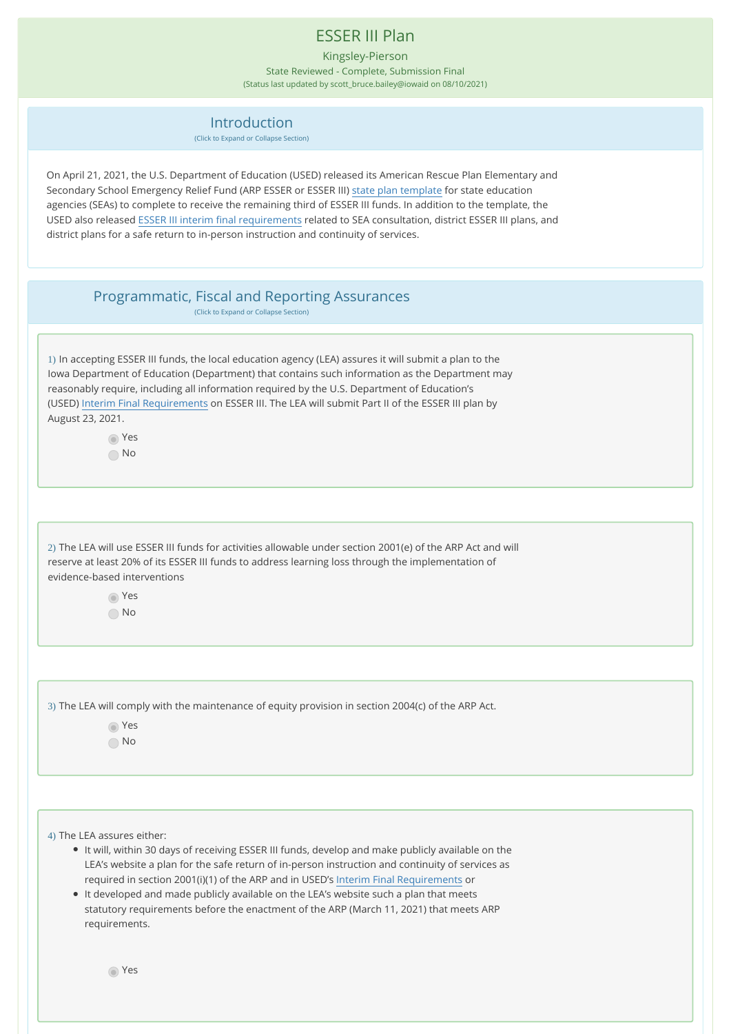## ESSER III Plan

Kingsley-Pierson State Reviewed - Complete, Submission Final

(Status last updated by scott\_bruce.bailey@iowaid on 08/10/2021)

## Introduction

(Click to Expand or Collapse Section)

On April 21, 2021, the U.S. Department of Education (USED) released its American Rescue Plan Elementary and Secondary School Emergency Relief Fund (ARP ESSER or ESSER III) [state plan template](https://oese.ed.gov/files/2021/04/ARP-ESSER-State-Plan-Template-04-20-2021_130PM.pdf) for state education agencies (SEAs) to complete to receive the remaining third of ESSER III funds. In addition to the template, the USED also released [ESSER III interim final requirements](https://www.federalregister.gov/documents/2021/04/22/2021-08359/american-rescue-plan-act-elementary-and-secondary-school-emergency-relief-fund) related to SEA consultation, district ESSER III plans, and district plans for a safe return to in-person instruction and continuity of services.

## Programmatic, Fiscal and Reporting Assurances

(Click to Expand or Collapse Section)

1) In accepting ESSER III funds, the local education agency (LEA) assures it will submit a plan to the Iowa Department of Education (Department) that contains such information as the Department may reasonably require, including all information required by the U.S. Department of Education's (USED) [Interim Final Requirements](https://www.govinfo.gov/content/pkg/FR-2021-04-22/pdf/2021-08359.pdf) on ESSER III. The LEA will submit Part II of the ESSER III plan by August 23, 2021.

> Yes No

2) The LEA will use ESSER III funds for activities allowable under section 2001(e) of the ARP Act and will reserve at least 20% of its ESSER III funds to address learning loss through the implementation of evidence-based interventions

> Yes No

3) The LEA will comply with the maintenance of equity provision in section 2004(c) of the ARP Act.

 Yes No

4) The LEA assures either:

- It will, within 30 days of receiving ESSER III funds, develop and make publicly available on the LEA's website a plan for the safe return of in-person instruction and continuity of services as required in section 2001(i)(1) of the ARP and in USED's [Interim Final Requirements](https://www.govinfo.gov/content/pkg/FR-2021-04-22/pdf/2021-08359.pdf) or
- It developed and made publicly available on the LEA's website such a plan that meets statutory requirements before the enactment of the ARP (March 11, 2021) that meets ARP requirements.

Yes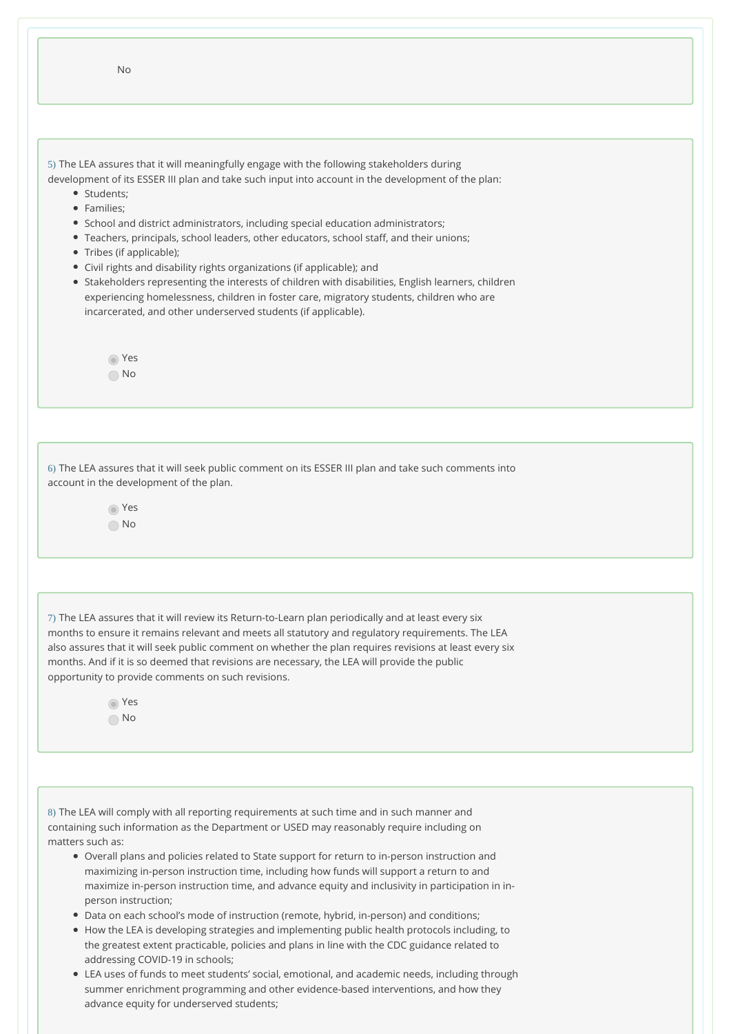| <b>No</b>                                                                                                                                                                                                                                                                                                                                   |  |
|---------------------------------------------------------------------------------------------------------------------------------------------------------------------------------------------------------------------------------------------------------------------------------------------------------------------------------------------|--|
| 5) The LEA assures that it will meaningfully engage with the following stakeholders during<br>development of its ESSER III plan and take such input into account in the development of the plan:                                                                                                                                            |  |
| • Students:                                                                                                                                                                                                                                                                                                                                 |  |
| • Families:<br>• School and district administrators, including special education administrators;<br>• Teachers, principals, school leaders, other educators, school staff, and their unions;<br>• Tribes (if applicable);                                                                                                                   |  |
| • Civil rights and disability rights organizations (if applicable); and<br>• Stakeholders representing the interests of children with disabilities, English learners, children<br>experiencing homelessness, children in foster care, migratory students, children who are<br>incarcerated, and other underserved students (if applicable). |  |
| Yes                                                                                                                                                                                                                                                                                                                                         |  |
| No.                                                                                                                                                                                                                                                                                                                                         |  |
|                                                                                                                                                                                                                                                                                                                                             |  |
|                                                                                                                                                                                                                                                                                                                                             |  |

6) The LEA assures that it will seek public comment on its ESSER III plan and take such comments into account in the development of the plan.

> Yes No

7) The LEA assures that it will review its Return-to-Learn plan periodically and at least every six months to ensure it remains relevant and meets all statutory and regulatory requirements. The LEA also assures that it will seek public comment on whether the plan requires revisions at least every six months. And if it is so deemed that revisions are necessary, the LEA will provide the public opportunity to provide comments on such revisions.

> Yes No

8) The LEA will comply with all reporting requirements at such time and in such manner and containing such information as the Department or USED may reasonably require including on matters such as:

- Overall plans and policies related to State support for return to in-person instruction and maximizing in-person instruction time, including how funds will support a return to and maximize in-person instruction time, and advance equity and inclusivity in participation in inperson instruction;
- Data on each school's mode of instruction (remote, hybrid, in-person) and conditions;
- How the LEA is developing strategies and implementing public health protocols including, to the greatest extent practicable, policies and plans in line with the CDC guidance related to addressing COVID-19 in schools;
- LEA uses of funds to meet students' social, emotional, and academic needs, including through summer enrichment programming and other evidence-based interventions, and how they advance equity for underserved students;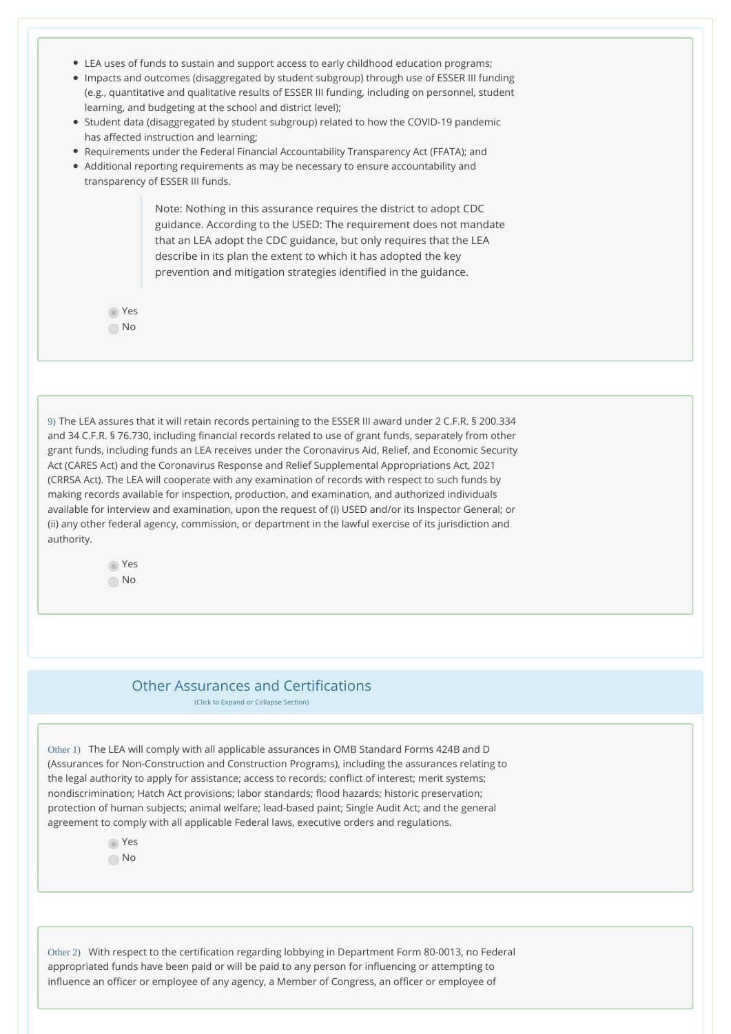- LEA uses of funds to sustain and support access to early childhood education programs;
- Impacts and outcomes (disaggregated by student subgroup) through use of ESSER III funding (e.g., quantitative and qualitative results of ESSER III funding, including on personnel, student learning, and budgeting at the school and district level);
- Student data (disaggregated by student subgroup) related to how the COVID-19 pandemic has affected instruction and learning;
- Requirements under the Federal Financial Accountability Transparency Act (FFATA); and
- Additional reporting requirements as may be necessary to ensure accountability and transparency of ESSER III funds.

Note: Nothing in this assurance requires the district to adopt CDC guidance. According to the USED: The requirement does not mandate that an LEA adopt the CDC guidance, but only requires that the LEA describe in its plan the extent to which it has adopted the key prevention and mitigation strategies identified in the guidance.

 Yes No

9) The LEA assures that it will retain records pertaining to the ESSER III award under 2 C.F.R. § 200.334 and 34 C.F.R. § 76.730, including financial records related to use of grant funds, separately from other grant funds, including funds an LEA receives under the Coronavirus Aid, Relief, and Economic Security Act (CARES Act) and the Coronavirus Response and Relief Supplemental Appropriations Act, 2021 (CRRSA Act). The LEA will cooperate with any examination of records with respect to such funds by making records available for inspection, production, and examination, and authorized individuals available for interview and examination, upon the request of (i) USED and/or its Inspector General; or (ii) any other federal agency, commission, or department in the lawful exercise of its jurisdiction and authority.

> Yes No

## Other Assurances and Certifications

(Click to Expand or Collapse Section)

Other 1) The LEA will comply with all applicable assurances in OMB Standard Forms 424B and D (Assurances for Non-Construction and Construction Programs), including the assurances relating to the legal authority to apply for assistance; access to records; conflict of interest; merit systems; nondiscrimination; Hatch Act provisions; labor standards; flood hazards; historic preservation; protection of human subjects; animal welfare; lead-based paint; Single Audit Act; and the general agreement to comply with all applicable Federal laws, executive orders and regulations.

Yes

No

Other 2) With respect to the certification regarding lobbying in Department Form 80-0013, no Federal appropriated funds have been paid or will be paid to any person for influencing or attempting to influence an officer or employee of any agency, a Member of Congress, an officer or employee of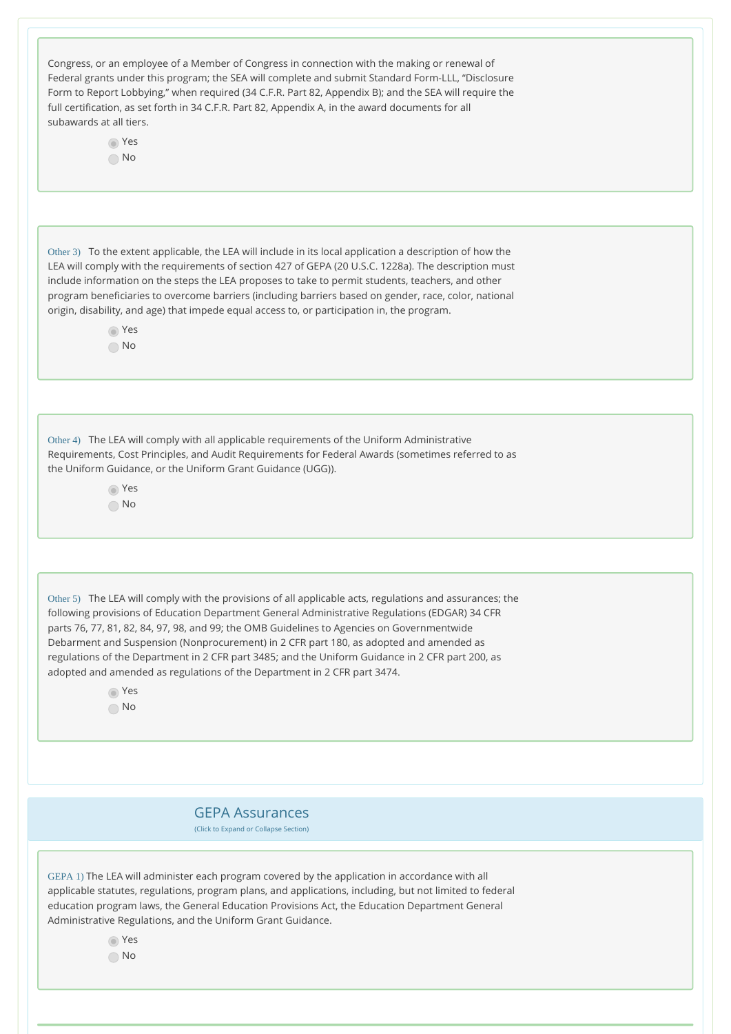| Congress, or an employee of a Member of Congress in connection with the making or renewal of<br>Federal grants under this program; the SEA will complete and submit Standard Form-LLL, "Disclosure<br>Form to Report Lobbying," when required (34 C.F.R. Part 82, Appendix B); and the SEA will require the<br>full certification, as set forth in 34 C.F.R. Part 82, Appendix A, in the award documents for all<br>subawards at all tiers.<br>∩ Yes<br>$\bigcap$ No                                                                                                                                        |
|-------------------------------------------------------------------------------------------------------------------------------------------------------------------------------------------------------------------------------------------------------------------------------------------------------------------------------------------------------------------------------------------------------------------------------------------------------------------------------------------------------------------------------------------------------------------------------------------------------------|
|                                                                                                                                                                                                                                                                                                                                                                                                                                                                                                                                                                                                             |
| Other 3) To the extent applicable, the LEA will include in its local application a description of how the<br>LEA will comply with the requirements of section 427 of GEPA (20 U.S.C. 1228a). The description must<br>include information on the steps the LEA proposes to take to permit students, teachers, and other<br>program beneficiaries to overcome barriers (including barriers based on gender, race, color, national<br>origin, disability, and age) that impede equal access to, or participation in, the program.<br>⊙ Yes<br>$\bigcap$ No                                                     |
|                                                                                                                                                                                                                                                                                                                                                                                                                                                                                                                                                                                                             |
| Other 4) The LEA will comply with all applicable requirements of the Uniform Administrative<br>Requirements, Cost Principles, and Audit Requirements for Federal Awards (sometimes referred to as<br>the Uniform Guidance, or the Uniform Grant Guidance (UGG)).<br>∩ Yes<br>$\bigcap$ No                                                                                                                                                                                                                                                                                                                   |
|                                                                                                                                                                                                                                                                                                                                                                                                                                                                                                                                                                                                             |
| Other 5) The LEA will comply with the provisions of all applicable acts, regulations and assurances; the<br>following provisions of Education Department General Administrative Regulations (EDGAR) 34 CFR<br>parts 76, 77, 81, 82, 84, 97, 98, and 99; the OMB Guidelines to Agencies on Governmentwide<br>Debarment and Suspension (Nonprocurement) in 2 CFR part 180, as adopted and amended as<br>regulations of the Department in 2 CFR part 3485; and the Uniform Guidance in 2 CFR part 200, as<br>adopted and amended as regulations of the Department in 2 CFR part 3474.<br>⊙ Yes<br>$\bigcap$ No |
|                                                                                                                                                                                                                                                                                                                                                                                                                                                                                                                                                                                                             |
|                                                                                                                                                                                                                                                                                                                                                                                                                                                                                                                                                                                                             |
| <b>GEPA Assurances</b><br>(Click to Expand or Collapse Section)                                                                                                                                                                                                                                                                                                                                                                                                                                                                                                                                             |
| GEPA 1) The LEA will administer each program covered by the application in accordance with all<br>applicable statutes, regulations, program plans, and applications, including, but not limited to federal<br>education program laws, the General Education Provisions Act, the Education Department General<br>Administrative Regulations, and the Uniform Grant Guidance.<br>∩ Yes<br>$\bigcirc$ No                                                                                                                                                                                                       |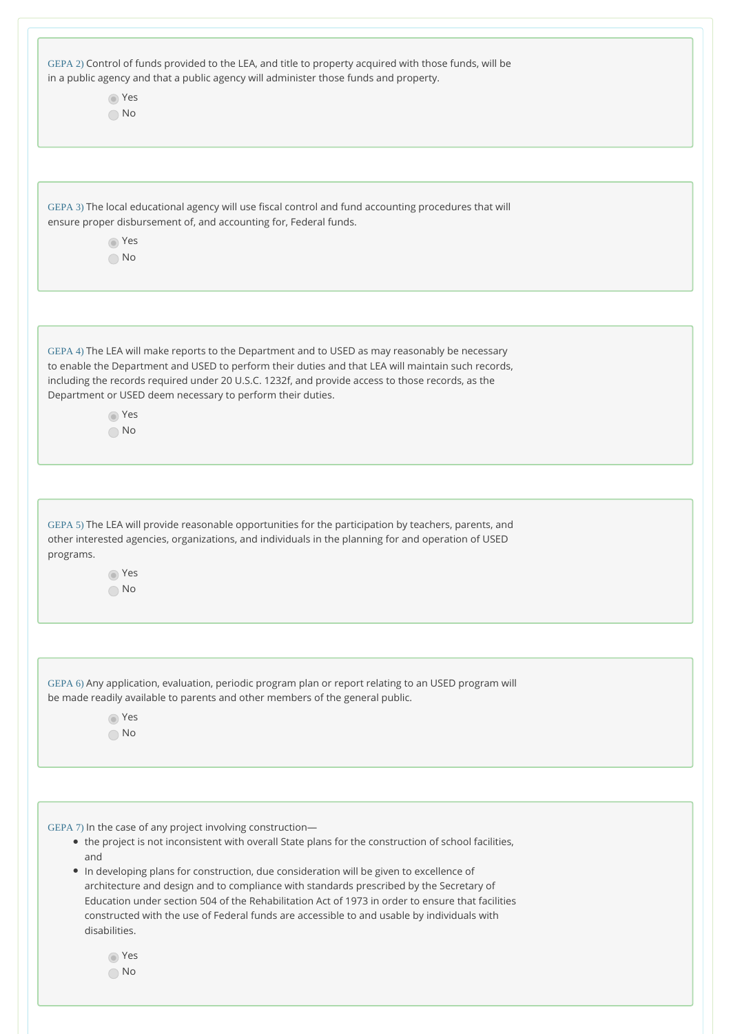| GEPA 2) Control of funds provided to the LEA, and title to property acquired with those funds, will be<br>in a public agency and that a public agency will administer those funds and property.      |
|------------------------------------------------------------------------------------------------------------------------------------------------------------------------------------------------------|
| ⊙ Yes                                                                                                                                                                                                |
| $\bigcap$ No                                                                                                                                                                                         |
|                                                                                                                                                                                                      |
|                                                                                                                                                                                                      |
|                                                                                                                                                                                                      |
| GEPA 3) The local educational agency will use fiscal control and fund accounting procedures that will                                                                                                |
| ensure proper disbursement of, and accounting for, Federal funds.<br>⊙ Yes                                                                                                                           |
| $\bigcirc$ No                                                                                                                                                                                        |
|                                                                                                                                                                                                      |
|                                                                                                                                                                                                      |
|                                                                                                                                                                                                      |
| GEPA 4) The LEA will make reports to the Department and to USED as may reasonably be necessary<br>to enable the Department and USED to perform their duties and that LEA will maintain such records, |
| including the records required under 20 U.S.C. 1232f, and provide access to those records, as the                                                                                                    |
| Department or USED deem necessary to perform their duties.                                                                                                                                           |
| ∩ Yes                                                                                                                                                                                                |
| $\bigcirc$ No                                                                                                                                                                                        |
|                                                                                                                                                                                                      |
|                                                                                                                                                                                                      |
| GEPA 5) The LEA will provide reasonable opportunities for the participation by teachers, parents, and                                                                                                |
| other interested agencies, organizations, and individuals in the planning for and operation of USED                                                                                                  |
| programs.                                                                                                                                                                                            |
| ⊙ Yes                                                                                                                                                                                                |
| $\bigcirc$ No                                                                                                                                                                                        |
|                                                                                                                                                                                                      |
|                                                                                                                                                                                                      |
| GEPA 6) Any application, evaluation, periodic program plan or report relating to an USED program will<br>be made readily available to parents and other members of the general public.               |
| ⊙ Yes                                                                                                                                                                                                |
| $\bigcirc$ No                                                                                                                                                                                        |
|                                                                                                                                                                                                      |
|                                                                                                                                                                                                      |
|                                                                                                                                                                                                      |
| GEPA 7) In the case of any project involving construction-<br>• the project is not inconsistent with overall State plans for the construction of school facilities,                                  |
| and                                                                                                                                                                                                  |
| . In developing plans for construction, due consideration will be given to excellence of<br>architecture and design and to compliance with standards prescribed by the Secretary of                  |
| Education under section 504 of the Rehabilitation Act of 1973 in order to ensure that facilities                                                                                                     |
| constructed with the use of Federal funds are accessible to and usable by individuals with                                                                                                           |
| disabilities.                                                                                                                                                                                        |
| ⊙ Yes                                                                                                                                                                                                |
| $\bigcirc$ No                                                                                                                                                                                        |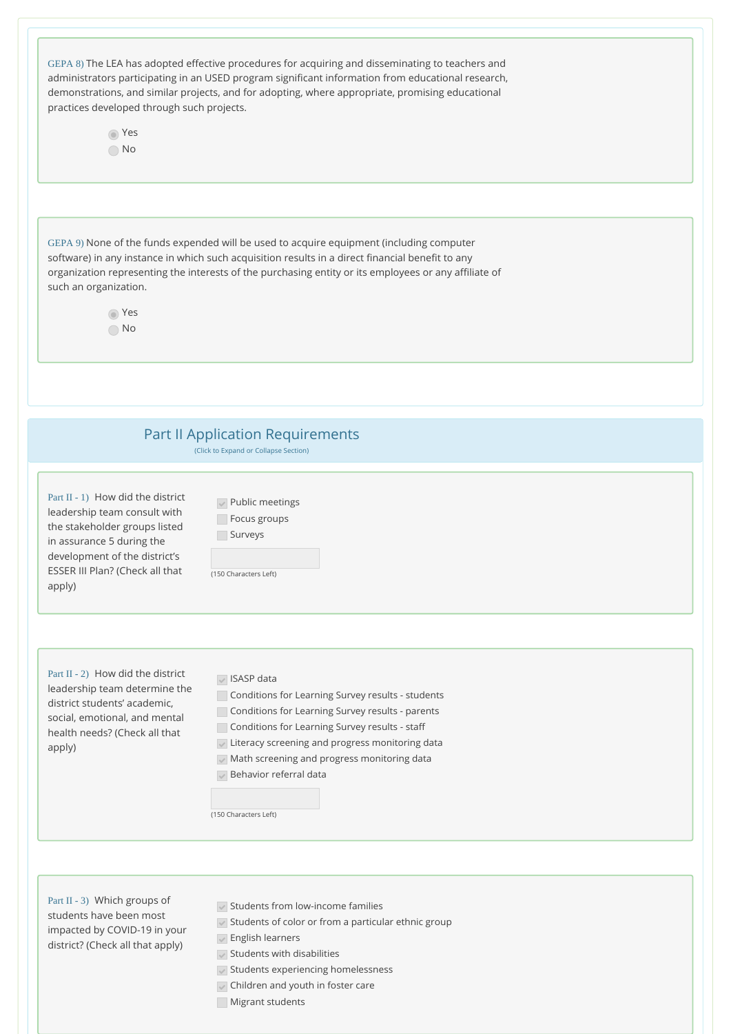| practices developed through such projects.<br>⊙ Yes<br>$\bigcirc$ No                                                                                                                                          | GEPA 8) The LEA has adopted effective procedures for acquiring and disseminating to teachers and<br>administrators participating in an USED program significant information from educational research,<br>demonstrations, and similar projects, and for adopting, where appropriate, promising educational                           |
|---------------------------------------------------------------------------------------------------------------------------------------------------------------------------------------------------------------|--------------------------------------------------------------------------------------------------------------------------------------------------------------------------------------------------------------------------------------------------------------------------------------------------------------------------------------|
| such an organization.<br>⊙ Yes<br>$\bigcirc$ No                                                                                                                                                               | GEPA 9) None of the funds expended will be used to acquire equipment (including computer<br>software) in any instance in which such acquisition results in a direct financial benefit to any<br>organization representing the interests of the purchasing entity or its employees or any affiliate of                                |
|                                                                                                                                                                                                               | <b>Part II Application Requirements</b><br>(Click to Expand or Collapse Section)                                                                                                                                                                                                                                                     |
| Part II - 1) How did the district<br>leadership team consult with<br>the stakeholder groups listed<br>in assurance 5 during the<br>development of the district's<br>ESSER III Plan? (Check all that<br>apply) | $\vee$ Public meetings<br>Focus groups<br>Surveys<br>(150 Characters Left)                                                                                                                                                                                                                                                           |
| Part II - 2) How did the district<br>leadership team determine the<br>district students' academic,<br>social, emotional, and mental<br>health needs? (Check all that<br>apply)                                | $\sqrt{}$ ISASP data<br>Conditions for Learning Survey results - students<br>Conditions for Learning Survey results - parents<br>Conditions for Learning Survey results - staff<br>Uiteracy screening and progress monitoring data<br>Math screening and progress monitoring data<br>Behavior referral data<br>(150 Characters Left) |

Part II - 3) Which groups of students have been most impacted by COVID-19 in your district? (Check all that apply)

- $\sqrt{\ }$  Students from low-income families
- $\blacktriangleright$  Students of color or from a particular ethnic group
- $\sqrt{\ }$  English learners
- $\sqrt{\ }$  Students with disabilities
- $\blacktriangleright$  Students experiencing homelessness
- $\sqrt{\phantom{a}}$  Children and youth in foster care
- **Migrant students**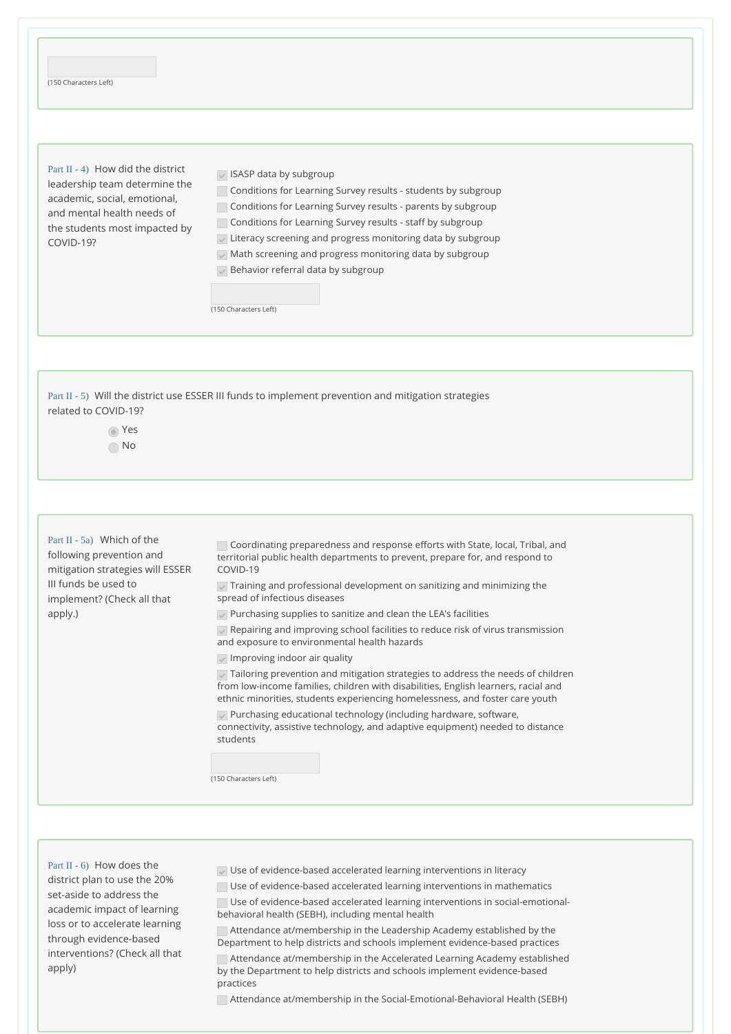| (150 Characters Left)<br>Part $II - 4$ ) How did the district<br>leadership team determine the<br>academic, social, emotional,<br>and mental health needs of<br>the students most impacted by<br>COVID-19? | SASP data by subgroup<br>Conditions for Learning Survey results - students by subgroup<br>Conditions for Learning Survey results - parents by subgroup<br>Conditions for Learning Survey results - staff by subgroup<br>Literacy screening and progress monitoring data by subgroup<br>Math screening and progress monitoring data by subgroup<br>Behavior referral data by subgroup<br>(150 Characters Left) |
|------------------------------------------------------------------------------------------------------------------------------------------------------------------------------------------------------------|---------------------------------------------------------------------------------------------------------------------------------------------------------------------------------------------------------------------------------------------------------------------------------------------------------------------------------------------------------------------------------------------------------------|
| related to COVID-19?<br>Yes<br>No.                                                                                                                                                                         | Part II - 5) Will the district use ESSER III funds to implement prevention and mitigation strategies                                                                                                                                                                                                                                                                                                          |

Part II - 5a) Which of the following prevention and mitigation strategies will ESSER III funds be used to implement? (Check all that apply.)

Coordinating preparedness and response efforts with State, local, Tribal, and territorial public health departments to prevent, prepare for, and respond to COVID-19

 $\sqrt{\ }$  Training and professional development on sanitizing and minimizing the spread of infectious diseases

Purchasing supplies to sanitize and clean the LEA's facilities

Repairing and improving school facilities to reduce risk of virus transmission and exposure to environmental health hazards

Improving indoor air quality

Tailoring prevention and mitigation strategies to address the needs of children from low-income families, children with disabilities, English learners, racial and ethnic minorities, students experiencing homelessness, and foster care youth

Purchasing educational technology (including hardware, software, connectivity, assistive technology, and adaptive equipment) needed to distance students

(150 Characters Left)

Part II - 6) How does the district plan to use the 20% set-aside to address the academic impact of learning loss or to accelerate learning through evidence-based interventions? (Check all that apply)

Use of evidence-based accelerated learning interventions in literacy

Use of evidence-based accelerated learning interventions in mathematics

Use of evidence-based accelerated learning interventions in social-emotionalbehavioral health (SEBH), including mental health

Attendance at/membership in the Leadership Academy established by the Department to help districts and schools implement evidence-based practices

Attendance at/membership in the Accelerated Learning Academy established by the Department to help districts and schools implement evidence-based practices

Attendance at/membership in the Social-Emotional-Behavioral Health (SEBH)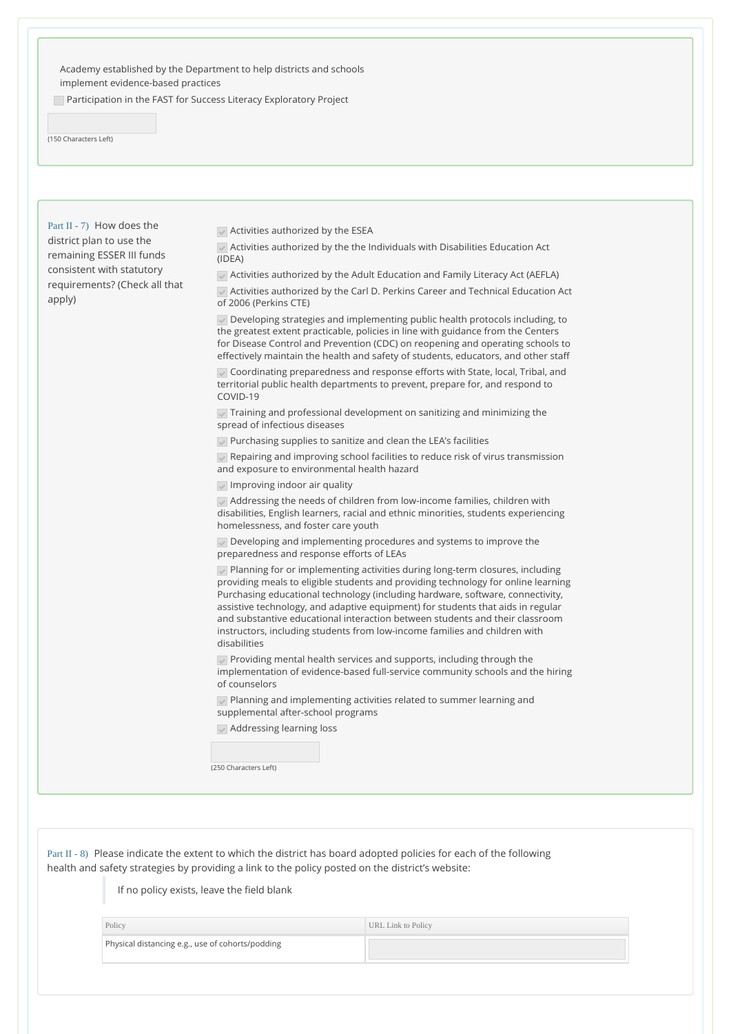Academy established by the Department to help districts and schools implement evidence-based practices

Participation in the FAST for Success Literacy Exploratory Project

(150 Characters Left)

Part II - 7) How does the district plan to use the remaining ESSER III funds consistent with statutory requirements? (Check all that apply)

 $\sqrt{\phantom{a}}$  Activities authorized by the ESEA

Activities authorized by the the Individuals with Disabilities Education Act (IDEA)

Activities authorized by the Adult Education and Family Literacy Act (AEFLA)

Activities authorized by the Carl D. Perkins Career and Technical Education Act of 2006 (Perkins CTE)

Developing strategies and implementing public health protocols including, to the greatest extent practicable, policies in line with guidance from the Centers for Disease Control and Prevention (CDC) on reopening and operating schools to effectively maintain the health and safety of students, educators, and other staff

Coordinating preparedness and response efforts with State, local, Tribal, and territorial public health departments to prevent, prepare for, and respond to COVID-19

 $\sqrt{\ }$  Training and professional development on sanitizing and minimizing the spread of infectious diseases

Purchasing supplies to sanitize and clean the LEA's facilities

Repairing and improving school facilities to reduce risk of virus transmission and exposure to environmental health hazard

Improving indoor air quality

Addressing the needs of children from low-income families, children with disabilities, English learners, racial and ethnic minorities, students experiencing homelessness, and foster care youth

Developing and implementing procedures and systems to improve the preparedness and response efforts of LEAs

Planning for or implementing activities during long-term closures, including providing meals to eligible students and providing technology for online learning Purchasing educational technology (including hardware, software, connectivity, assistive technology, and adaptive equipment) for students that aids in regular and substantive educational interaction between students and their classroom instructors, including students from low-income families and children with disabilities

Providing mental health services and supports, including through the implementation of evidence-based full-service community schools and the hiring of counselors

Planning and implementing activities related to summer learning and supplemental after-school programs

Addressing learning loss

(250 Characters Left)

Part II - 8) Please indicate the extent to which the district has board adopted policies for each of the following health and safety strategies by providing a link to the policy posted on the district's website:

If no policy exists, leave the field blank

| Policy                                           | URL Link to Policy |
|--------------------------------------------------|--------------------|
| Physical distancing e.g., use of cohorts/podding |                    |